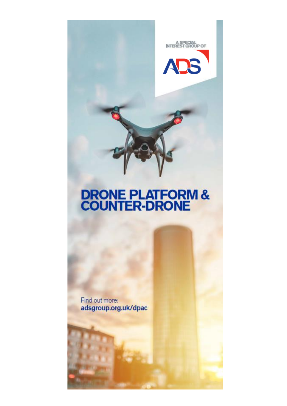

# **DRONE PLATFORM &<br>COUNTER-DRONE**

Find out more: adsgroup.org.uk/dpac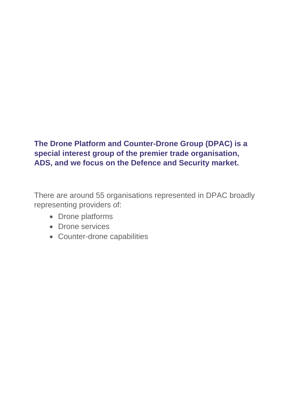# **The Drone Platform and Counter-Drone Group (DPAC) is a special interest group of the premier trade organisation, ADS, and we focus on the Defence and Security market.**

There are around 55 organisations represented in DPAC broadly representing providers of:

- Drone platforms
- Drone services
- Counter-drone capabilities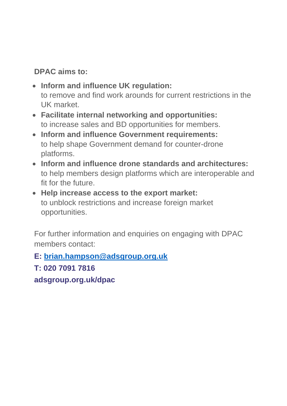# **DPAC aims to:**

- **Inform and influence UK regulation:** to remove and find work arounds for current restrictions in the UK market.
- **Facilitate internal networking and opportunities:** to increase sales and BD opportunities for members.
- **Inform and influence Government requirements:** to help shape Government demand for counter-drone platforms.
- **Inform and influence drone standards and architectures:** to help members design platforms which are interoperable and fit for the future.
- **Help increase access to the export market:** to unblock restrictions and increase foreign market opportunities.

For further information and enquiries on engaging with DPAC members contact:

**E: [brian.hampson@adsgroup.org.uk](mailto:brian.hampson@adsgroup.org.uk)**

**T: 020 7091 7816**

**adsgroup.org.uk/dpac**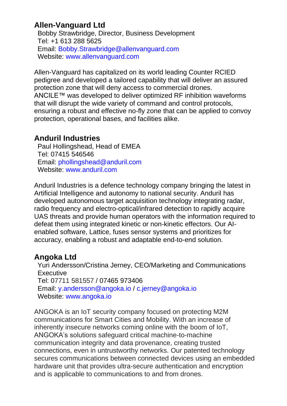# **Allen-Vanguard Ltd**

Bobby Strawbridge, Director, Business Development Tel: +1 613 288 5625 Email: [Bobby.Strawbridge@allenvanguard.com](mailto:Bobby.Strawbridge@allenvanguard.com) Website: [www.allenvanguard.com](http://www.allenvanguard.com/)

Allen-Vanguard has capitalized on its world leading Counter RCIED pedigree and developed a tailored capability that will deliver an assured protection zone that will deny access to commercial drones. ANCILE™ was developed to deliver optimized RF inhibition waveforms that will disrupt the wide variety of command and control protocols, ensuring a robust and effective no-fly zone that can be applied to convoy protection, operational bases, and facilities alike.

## **Anduril Industries**

Paul Hollingshead, Head of EMEA Tel: 07415 546546 Email: [phollingshead@anduril.com](mailto:phollingshead@anduril.com) Website: [www.anduril.com](http://www.anduril.com/)

Anduril Industries is a defence technology company bringing the latest in Artificial Intelligence and autonomy to national security. Anduril has developed autonomous target acquisition technology integrating radar, radio frequency and electro-optical/infrared detection to rapidly acquire UAS threats and provide human operators with the information required to defeat them using integrated kinetic or non-kinetic effectors. Our AIenabled software, Lattice, fuses sensor systems and prioritizes for accuracy, enabling a robust and adaptable end-to-end solution.

# **Angoka Ltd**

Yuri Andersson/Cristina Jerney, CEO/Marketing and Communications **Executive** Tel: 07711 581557 / 07465 973406 Email: [y.andersson@angoka.io](mailto:y.andersson@angoka.io) / [c.jerney@angoka.io](mailto:c.jerney@angoka.io) Website: [www.angoka.io](http://www.angoka.io/)

ANGOKA is an IoT security company focused on protecting M2M communications for Smart Cities and Mobility. With an increase of inherently insecure networks coming online with the boom of IoT, ANGOKA's solutions safeguard critical machine-to-machine communication integrity and data provenance, creating trusted connections, even in untrustworthy networks. Our patented technology secures communications between connected devices using an embedded hardware unit that provides ultra-secure authentication and encryption and is applicable to communications to and from drones.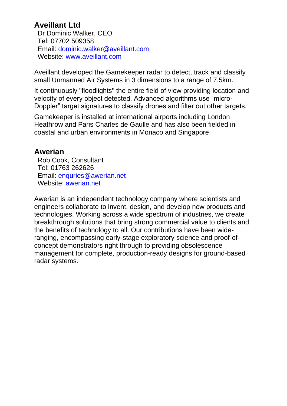## **Aveillant Ltd**

Dr Dominic Walker, CEO Tel: 07702 509358 Email: [dominic.walker@aveillant.com](mailto:dominic.walker@aveillant.com) Website: [www.aveillant.com](http://www.aveillant.com/)

Aveillant developed the Gamekeeper radar to detect, track and classify small Unmanned Air Systems in 3 dimensions to a range of 7.5km.

It continuously "floodlights" the entire field of view providing location and velocity of every object detected. Advanced algorithms use "micro-Doppler" target signatures to classify drones and filter out other targets.

Gamekeeper is installed at international airports including London Heathrow and Paris Charles de Gaulle and has also been fielded in coastal and urban environments in Monaco and Singapore.

#### **Awerian**

Rob Cook, Consultant Tel: 01763 262626 Email: [enquries@awerian.net](mailto:enquries@awerian.net) Website: [awerian.net](https://awerian.net/)

Awerian is an independent technology company where scientists and engineers collaborate to invent, design, and develop new products and technologies. Working across a wide spectrum of industries, we create breakthrough solutions that bring strong commercial value to clients and the benefits of technology to all. Our contributions have been wideranging, encompassing early-stage exploratory science and proof-ofconcept demonstrators right through to providing obsolescence management for complete, production-ready designs for ground-based radar systems.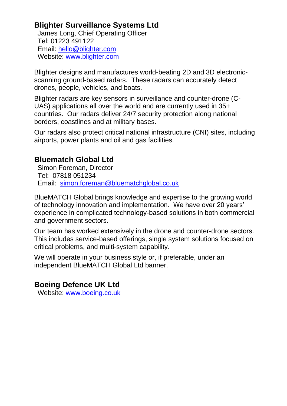# **Blighter Surveillance Systems Ltd**

James Long, Chief Operating Officer Tel: 01223 491122 Email: [hello@blighter.com](mailto:hello@blighter.com) Website: [www.blighter.com](http://www.blighter.com/)

Blighter designs and manufactures world-beating 2D and 3D electronicscanning ground-based radars. These radars can accurately detect drones, people, vehicles, and boats.

Blighter radars are key sensors in surveillance and counter-drone (C-UAS) applications all over the world and are currently used in 35+ countries. Our radars deliver 24/7 security protection along national borders, coastlines and at military bases.

Our radars also protect critical national infrastructure (CNI) sites, including airports, power plants and oil and gas facilities.

## **Bluematch Global Ltd**

Simon Foreman, Director Tel: 07818 051234 Email: [simon.foreman@bluematchglobal.co.uk](mailto:simon.foreman@bluematchglobal.co.uk)

BlueMATCH Global brings knowledge and expertise to the growing world of technology innovation and implementation. We have over 20 years' experience in complicated technology-based solutions in both commercial and government sectors.

Our team has worked extensively in the drone and counter-drone sectors. This includes service-based offerings, single system solutions focused on critical problems, and multi-system capability.

We will operate in your business style or, if preferable, under an independent BlueMATCH Global Ltd banner.

# **Boeing Defence UK Ltd**

Website: [www.boeing.co.uk](https://www.boeing.co.uk/)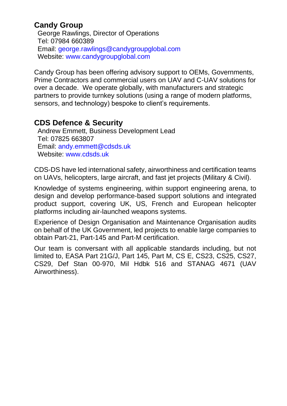# **Candy Group**

George Rawlings, Director of Operations Tel: 07984 660389 Email: [george.rawlings@candygroupglobal.com](mailto:george.rawlings@candygroupglobal.com) Website: [www.candygroupglobal.com](http://www.candygroupglobal.com/)

Candy Group has been offering advisory support to OEMs, Governments, Prime Contractors and commercial users on UAV and C-UAV solutions for over a decade. We operate globally, with manufacturers and strategic partners to provide turnkey solutions (using a range of modern platforms, sensors, and technology) bespoke to client's requirements.

## **CDS Defence & Security**

Andrew Emmett, Business Development Lead Tel: 07825 663807 Email: [andy.emmett@cdsds.uk](mailto:andy.emmett@cdsds.uk) Website: [www.cdsds.uk](http://www.cdsds.uk/)

CDS-DS have led international safety, airworthiness and certification teams on UAVs, helicopters, large aircraft, and fast jet projects (Military & Civil).

Knowledge of systems engineering, within support engineering arena, to design and develop performance-based support solutions and integrated product support, covering UK, US, French and European helicopter platforms including air-launched weapons systems.

Experience of Design Organisation and Maintenance Organisation audits on behalf of the UK Government, led projects to enable large companies to obtain Part-21, Part-145 and Part-M certification.

Our team is conversant with all applicable standards including, but not limited to, EASA Part 21G/J, Part 145, Part M, CS E, CS23, CS25, CS27, CS29, Def Stan 00-970, Mil Hdbk 516 and STANAG 4671 (UAV Airworthiness).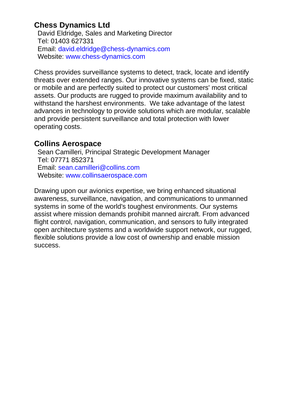# **Chess Dynamics Ltd**

David Eldridge, Sales and Marketing Director Tel: 01403 627331 Email: [david.eldridge@chess-dynamics.com](mailto:david.eldridge@chess-dynamics.com) Website: [www.chess-dynamics.com](http://www.chess-dynamics.com/)

Chess provides surveillance systems to detect, track, locate and identify threats over extended ranges. Our innovative systems can be fixed, static or mobile and are perfectly suited to protect our customers' most critical assets. Our products are rugged to provide maximum availability and to withstand the harshest environments. We take advantage of the latest advances in technology to provide solutions which are modular, scalable and provide persistent surveillance and total protection with lower operating costs.

## **Collins Aerospace**

Sean Camilleri, Principal Strategic Development Manager Tel: 07771 852371 Email: [sean.camilleri@collins.com](mailto:sean.camilleri@collins.com) Website: [www.collinsaerospace.com](file:///C:/Users/scamille/Downloads/www.collinsaerospace.com)

Drawing upon our avionics expertise, we bring enhanced situational awareness, surveillance, navigation, and communications to unmanned systems in some of the world's toughest environments. Our systems assist where mission demands prohibit manned aircraft. From advanced flight control, navigation, communication, and sensors to fully integrated open architecture systems and a worldwide support network, our rugged, flexible solutions provide a low cost of ownership and enable mission success.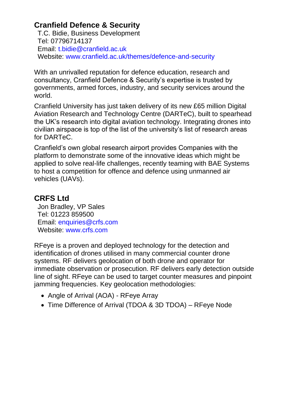# **Cranfield Defence & Security**

T.C. Bidie, Business Development Tel: 07796714137 Email: [t.bidie@cranfield.ac.uk](mailto:t.bidie@cranfield.ac.uk) Website: [www.cranfield.ac.uk/themes/defence-and-security](https://www.cranfield.ac.uk/themes/defence-and-security)

With an unrivalled reputation for defence education, research and consultancy, Cranfield Defence & Security's expertise is trusted by governments, armed forces, industry, and security services around the world.

Cranfield University has just taken delivery of its new £65 million Digital Aviation Research and Technology Centre (DARTeC), built to spearhead the UK's research into digital aviation technology. Integrating drones into civilian airspace is top of the list of the university's list of research areas for DARTeC.

Cranfield's own global research airport provides Companies with the platform to demonstrate some of the innovative ideas which might be applied to solve real-life challenges, recently teaming with BAE Systems to host a competition for offence and defence using unmanned air vehicles (UAVs).

# **CRFS Ltd**

Jon Bradley, VP Sales Tel: 01223 859500 Email: [enquiries@crfs.com](mailto:enquiries@crfs.com) Website: [www.crfs.com](http://www.crfs.com/)

RFeye is a proven and deployed technology for the detection and identification of drones utilised in many commercial counter drone systems. RF delivers geolocation of both drone and operator for immediate observation or prosecution. RF delivers early detection outside line of sight. RFeye can be used to target counter measures and pinpoint jamming frequencies. Key geolocation methodologies:

- Angle of Arrival (AOA) RFeye Array
- Time Difference of Arrival (TDOA & 3D TDOA) RFeye Node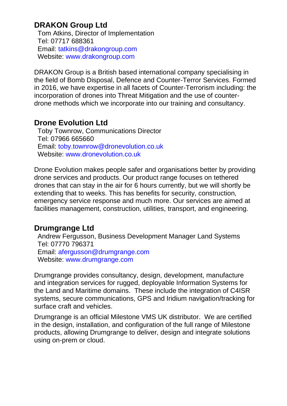# **DRAKON Group Ltd**

Tom Atkins, Director of Implementation Tel: 07717 688361 Email: [tatkins@drakongroup.com](mailto:tatkins@drakongroup.com) Website: [www.drakongroup.com](http://www.drakongroup.com/)

DRAKON Group is a British based international company specialising in the field of Bomb Disposal, Defence and Counter-Terror Services. Formed in 2016, we have expertise in all facets of Counter-Terrorism including: the incorporation of drones into Threat Mitigation and the use of counterdrone methods which we incorporate into our training and consultancy.

#### **Drone Evolution Ltd**

Toby Townrow, Communications Director Tel: 07966 665660 Email: [toby.townrow@dronevolution.co.uk](mailto:toby.townrow@dronevolution.co.uk) Website: [www.dronevolution.co.uk](http://www.dronevolution.co.uk/)

Drone Evolution makes people safer and organisations better by providing drone services and products. Our product range focuses on tethered drones that can stay in the air for 6 hours currently, but we will shortly be extending that to weeks. This has benefits for security, construction, emergency service response and much more. Our services are aimed at facilities management, construction, utilities, transport, and engineering.

## **Drumgrange Ltd**

Andrew Fergusson, Business Development Manager Land Systems Tel: 07770 796371 Email: [afergusson@drumgrange.com](mailto:afergusson@drumgrange.com) Website: [www.drumgrange.com](http://www.drumgrange.com/)

Drumgrange provides consultancy, design, development, manufacture and integration services for rugged, deployable Information Systems for the Land and Maritime domains. These include the integration of C4ISR systems, secure communications, GPS and Iridium navigation/tracking for surface craft and vehicles.

Drumgrange is an official Milestone VMS UK distributor. We are certified in the design, installation, and configuration of the full range of Milestone products, allowing Drumgrange to deliver, design and integrate solutions using on-prem or cloud.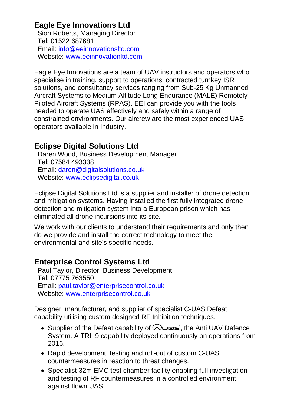# **Eagle Eye Innovations Ltd**

Sion Roberts, Managing Director Tel: 01522 687681 Email: [info@eeinnovationsltd.com](mailto:info@eeinnovationsltd.com) Website: [www.eeinnovationltd.com](http://www.eeinnovationltd.com/)

Eagle Eye Innovations are a team of UAV instructors and operators who specialise in training, support to operations, contracted turnkey ISR solutions, and consultancy services ranging from Sub-25 Kg Unmanned Aircraft Systems to Medium Altitude Long Endurance (MALE) Remotely Piloted Aircraft Systems (RPAS). EEI can provide you with the tools needed to operate UAS effectively and safely within a range of constrained environments. Our aircrew are the most experienced UAS operators available in Industry.

# **Eclipse Digital Solutions Ltd**

Daren Wood, Business Development Manager Tel: 07584 493338 Email: [daren@digitalsolutions.co.uk](mailto:daren@digitalsolutions.co.uk) Website: [www.eclipsedigital.co.uk](http://www.eclipsedigital.co.uk/)

Eclipse Digital Solutions Ltd is a supplier and installer of drone detection and mitigation systems. Having installed the first fully integrated drone detection and mitigation system into a European prison which has eliminated all drone incursions into its site.

We work with our clients to understand their requirements and only then do we provide and install the correct technology to meet the environmental and site's specific needs.

# **Enterprise Control Systems Ltd**

Paul Taylor, Director, Business Development Tel: 07775 763550 Email: [paul.taylor@enterprisecontrol.co.uk](mailto:paul.taylor@enterprisecontrol.co.uk) Website: [www.enterprisecontrol.co.uk](http://www.enterprisecontrol.co.uk/)

Designer, manufacturer, and supplier of specialist C-UAS Defeat capability utilising custom designed RF Inhibition techniques.

- Supplier of the Defeat capability of  $\bigotimes \square$   $\Rightarrow$  the Anti UAV Defence System. A TRL 9 capability deployed continuously on operations from 2016.
- Rapid development, testing and roll-out of custom C-UAS countermeasures in reaction to threat changes.
- Specialist 32m EMC test chamber facility enabling full investigation and testing of RF countermeasures in a controlled environment against flown UAS.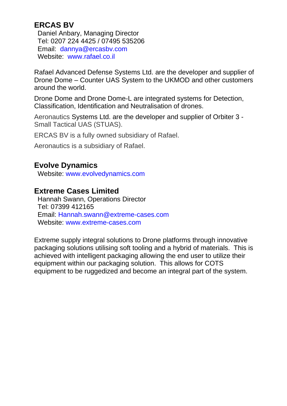# **ERCAS BV**

Daniel Anbary, Managing Director Tel: 0207 224 4425 / 07495 535206 Email: [dannya@ercasbv.com](mailto:dannya@ercasbv.com) Website: [www.rafael.co.il](http://www.rafael.co.il/)

Rafael Advanced Defense Systems Ltd. are the developer and supplier of Drone Dome – Counter UAS System to the UKMOD and other customers around the world.

Drone Dome and Drone Dome-L are integrated systems for Detection, Classification, Identification and Neutralisation of drones.

Aeronautics Systems Ltd. are the developer and supplier of Orbiter 3 - Small Tactical UAS (STUAS).

ERCAS BV is a fully owned subsidiary of Rafael.

Aeronautics is a subsidiary of Rafael.

# **Evolve Dynamics**

Website: [www.evolvedynamics.com](http://www.evolvedynamics.com/)

## **Extreme Cases Limited**

Hannah Swann, Operations Director Tel: 07399 412165 Email: [Hannah.swann@extreme-cases.com](mailto:Hannah.swann@extreme-cases.com) Website: [www.extreme-cases.com](http://www.extreme-cases.com/)

Extreme supply integral solutions to Drone platforms through innovative packaging solutions utilising soft tooling and a hybrid of materials. This is achieved with intelligent packaging allowing the end user to utilize their equipment within our packaging solution. This allows for COTS equipment to be ruggedized and become an integral part of the system.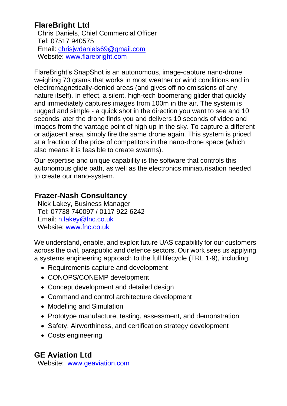# **FlareBright Ltd**

Chris Daniels, Chief Commercial Officer Tel: 07517 940575 Email: [chrisjwdaniels69@gmail.com](mailto:chrisjwdaniels69@gmail.com) Website: [www.flarebright.com](https://flarebright.com/)

FlareBright's SnapShot is an autonomous, image-capture nano-drone weighing 70 grams that works in most weather or wind conditions and in electromagnetically-denied areas (and gives off no emissions of any nature itself). In effect, a silent, high-tech boomerang glider that quickly and immediately captures images from 100m in the air. The system is rugged and simple - a quick shot in the direction you want to see and 10 seconds later the drone finds you and delivers 10 seconds of video and images from the vantage point of high up in the sky. To capture a different or adjacent area, simply fire the same drone again. This system is priced at a fraction of the price of competitors in the nano-drone space (which also means it is feasible to create swarms).

Our expertise and unique capability is the software that controls this autonomous glide path, as well as the electronics miniaturisation needed to create our nano-system.

## **Frazer-Nash Consultancy**

Nick Lakey, Business Manager Tel: 07738 740097 / 0117 922 6242 Email: [n.lakey@fnc.co.uk](mailto:n.lakey@fnc.co.uk) Website: [www.fnc.co.uk](http://www.fnc.co.uk/)

We understand, enable, and exploit future UAS capability for our customers across the civil, parapublic and defence sectors. Our work sees us applying a systems engineering approach to the full lifecycle (TRL 1-9), including:

- Requirements capture and development
- CONOPS/CONEMP development
- Concept development and detailed design
- Command and control architecture development
- Modelling and Simulation
- Prototype manufacture, testing, assessment, and demonstration
- Safety, Airworthiness, and certification strategy development
- Costs engineering

# **GE Aviation Ltd**

Website: [www.geaviation.com](http://www.geaviation.com/)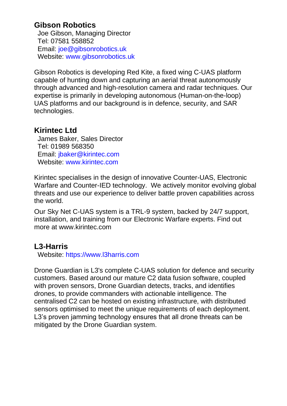## **Gibson Robotics**

Joe Gibson, Managing Director Tel: 07581 558852 Email: [joe@gibsonrobotics.uk](mailto:joe@gibsonrobotics.uk) Website: [www.gibsonrobotics.uk](http://www.gibsonrobotics.uk/)

Gibson Robotics is developing Red Kite, a fixed wing C-UAS platform capable of hunting down and capturing an aerial threat autonomously through advanced and high-resolution camera and radar techniques. Our expertise is primarily in developing autonomous (Human-on-the-loop) UAS platforms and our background is in defence, security, and SAR technologies.

## **Kirintec Ltd**

James Baker, Sales Director Tel: 01989 568350 Email: [jbaker@kirintec.com](mailto:jbaker@kirintec.com) Website: [www.kirintec.com](http://www.kirintec.com/)

Kirintec specialises in the design of innovative Counter-UAS, Electronic Warfare and Counter-IED technology. We actively monitor evolving global threats and use our experience to deliver battle proven capabilities across the world.

Our Sky Net C-UAS system is a TRL-9 system, backed by 24/7 support, installation, and training from our Electronic Warfare experts. Find out more at www.kirintec.com

## **L3-Harris**

Website: [https://www.l3harris.com](https://www.l3harris.com/en-gb/united-kingdom)

Drone Guardian is L3's complete C-UAS solution for defence and security customers. Based around our mature C2 data fusion software, coupled with proven sensors, Drone Guardian detects, tracks, and identifies drones, to provide commanders with actionable intelligence. The centralised C2 can be hosted on existing infrastructure, with distributed sensors optimised to meet the unique requirements of each deployment. L3's proven jamming technology ensures that all drone threats can be mitigated by the Drone Guardian system.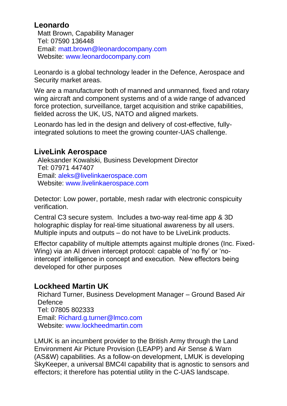# **Leonardo**

Matt Brown, Capability Manager Tel: 07590 136448 Email: [matt.brown@leonardocompany.com](mailto:matt.brown@leonardocompany.com) Website: [www.leonardocompany.com](http://www.leonardocompany.com/)

Leonardo is a global technology leader in the Defence, Aerospace and Security market areas.

We are a manufacturer both of manned and unmanned, fixed and rotary wing aircraft and component systems and of a wide range of advanced force protection, surveillance, target acquisition and strike capabilities, fielded across the UK, US, NATO and aligned markets.

Leonardo has led in the design and delivery of cost-effective, fullyintegrated solutions to meet the growing counter-UAS challenge.

# **LiveLink Aerospace**

Aleksander Kowalski, Business Development Director Tel: 07971 447407 Email: [aleks@livelinkaerospace.com](mailto:aleks@livelinkaerospace.com) Website: [www.livelinkaerospace.com](http://www.livelinkaerospace.com/)

Detector: Low power, portable, mesh radar with electronic conspicuity verification.

Central C3 secure system. Includes a two-way real-time app & 3D holographic display for real-time situational awareness by all users. Multiple inputs and outputs – do not have to be LiveLink products.

Effector capability of multiple attempts against multiple drones (Inc. Fixed-Wing) via an AI driven intercept protocol: capable of 'no fly' or 'nointercept' intelligence in concept and execution. New effectors being developed for other purposes

# **Lockheed Martin UK**

Richard Turner, Business Development Manager – Ground Based Air **Defence** Tel: 07805 802333 Email: [Richard.g.turner@lmco.com](mailto:Richard.g.turner@lmco.com) Website: [www.lockheedmartin.com](http://www.lockheedmartin.com/)

LMUK is an incumbent provider to the British Army through the Land Environment Air Picture Provision (LEAPP) and Air Sense & Warn (AS&W) capabilities. As a follow-on development, LMUK is developing SkyKeeper, a universal BMC4I capability that is agnostic to sensors and effectors; it therefore has potential utility in the C-UAS landscape.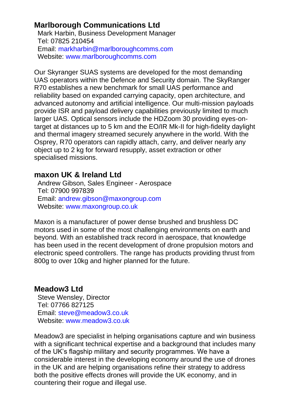## **Marlborough Communications Ltd**

Mark Harbin, Business Development Manager Tel: 07825 210454 Email: [markharbin@marlboroughcomms.com](mailto:markharbin@marlboroughcomms.com) Website: [www.marlboroughcomms.com](http://www.marlboroughcomms.com/)

Our Skyranger SUAS systems are developed for the most demanding UAS operators within the Defence and Security domain. The SkyRanger R70 establishes a new benchmark for small UAS performance and reliability based on expanded carrying capacity, open architecture, and advanced autonomy and artificial intelligence. Our multi-mission payloads provide ISR and payload delivery capabilities previously limited to much larger UAS. Optical sensors include the HDZoom 30 providing eyes-ontarget at distances up to 5 km and the EO/IR Mk-II for high-fidelity daylight and thermal imagery streamed securely anywhere in the world. With the Osprey, R70 operators can rapidly attach, carry, and deliver nearly any object up to 2 kg for forward resupply, asset extraction or other specialised missions.

## **maxon UK & Ireland Ltd**

Andrew Gibson, Sales Engineer - Aerospace Tel: 07900 997839 Email: [andrew.gibson@maxongroup.com](mailto:andrew.gibson@maxongroup.com) Website: [www.maxongroup.co.uk](http://www.maxongroup.co.uk/)

Maxon is a manufacturer of power dense brushed and brushless DC motors used in some of the most challenging environments on earth and beyond. With an established track record in aerospace, that knowledge has been used in the recent development of drone propulsion motors and electronic speed controllers. The range has products providing thrust from 800g to over 10kg and higher planned for the future.

#### **Meadow3 Ltd**

Steve Wensley, Director Tel: 07766 827125 Email: [steve@meadow3.co.uk](mailto:steve@meadow3.co.uk) Website: [www.meadow3.co.uk](http://www.meadow3.co.uk/)

Meadow3 are specialist in helping organisations capture and win business with a significant technical expertise and a background that includes many of the UK's flagship military and security programmes. We have a considerable interest in the developing economy around the use of drones in the UK and are helping organisations refine their strategy to address both the positive effects drones will provide the UK economy, and in countering their rogue and illegal use.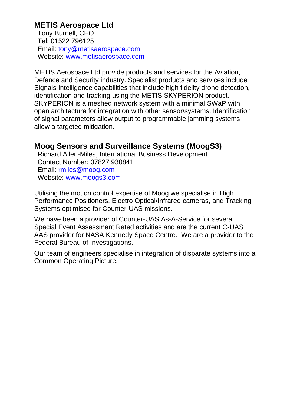## **METIS Aerospace Ltd**

Tony Burnell, CEO Tel: 01522 796125 Email: [tony@metisaerospace.com](mailto:tony@metisaerospace.com) Website: [www.metisaerospace.com](http://www.metisaerospace.com/)

METIS Aerospace Ltd provide products and services for the Aviation, Defence and Security industry. Specialist products and services include Signals Intelligence capabilities that include high fidelity drone detection, identification and tracking using the METIS SKYPERION product. SKYPERION is a meshed network system with a minimal SWaP with open architecture for integration with other sensor/systems. Identification of signal parameters allow output to programmable jamming systems allow a targeted mitigation.

#### **Moog Sensors and Surveillance Systems (MoogS3)**

Richard Allen-Miles, International Business Development Contact Number: 07827 930841 Email: [rmiles@moog.com](mailto:rmiles@moog.com) Website: [www.moogs3.com](http://www.moogs3.com/)

Utilising the motion control expertise of Moog we specialise in High Performance Positioners, Electro Optical/Infrared cameras, and Tracking Systems optimised for Counter-UAS missions.

We have been a provider of Counter-UAS As-A-Service for several Special Event Assessment Rated activities and are the current C-UAS AAS provider for NASA Kennedy Space Centre. We are a provider to the Federal Bureau of Investigations.

Our team of engineers specialise in integration of disparate systems into a Common Operating Picture.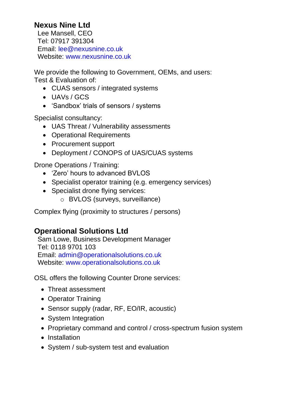# **Nexus Nine Ltd**

Lee Mansell, CEO Tel: 07917 391304 Email: [lee@nexusnine.co.uk](mailto:lee@nexusnine.co.uk) Website: [www.nexusnine.co.uk](http://www.nexusnine.co.uk/)

We provide the following to Government, OEMs, and users: Test & Evaluation of:

- CUAS sensors / integrated systems
- UAVs / GCS
- 'Sandbox' trials of sensors / systems

Specialist consultancy:

- UAS Threat / Vulnerability assessments
- Operational Requirements
- Procurement support
- Deployment / CONOPS of UAS/CUAS systems

Drone Operations / Training:

- 'Zero' hours to advanced BVLOS
- Specialist operator training (e.g. emergency services)
- Specialist drone flying services:
	- o BVLOS (surveys, surveillance)

Complex flying (proximity to structures / persons)

# **Operational Solutions Ltd**

Sam Lowe, Business Development Manager Tel: 0118 9701 103 Email: [admin@operationalsolutions.co.uk](mailto:admin@operationalsolutions.co.uk) Website: [www.operationalsolutions.co.uk](http://www.operationalsolutions.co.uk/)

OSL offers the following Counter Drone services:

- Threat assessment
- Operator Training
- Sensor supply (radar, RF, EO/IR, acoustic)
- System Integration
- Proprietary command and control / cross-spectrum fusion system
- Installation
- System / sub-system test and evaluation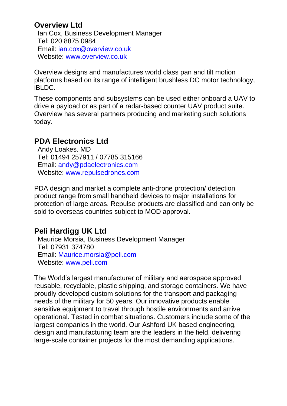## **Overview Ltd**

Ian Cox, Business Development Manager Tel: 020 8875 0984 Email: [ian.cox@overview.co.uk](mailto:ian.cox@overview.co.uk) Website: [www.overview.co.uk](http://www.overview.co.uk/)

Overview designs and manufactures world class pan and tilt motion platforms based on its range of intelligent brushless DC motor technology, iBLDC.

These components and subsystems can be used either onboard a UAV to drive a payload or as part of a radar-based counter UAV product suite. Overview has several partners producing and marketing such solutions today.

## **PDA Electronics Ltd**

Andy Loakes. MD Tel: 01494 257911 / 07785 315166 Email: [andy@pdaelectronics.com](mailto:andy@pdaelectronics.com) Website: [www.repulsedrones.com](http://www.repulsedrones.com/)

PDA design and market a complete anti-drone protection/ detection product range from small handheld devices to major installations for protection of large areas. Repulse products are classified and can only be sold to overseas countries subject to MOD approval.

# **Peli Hardigg UK Ltd**

Maurice Morsia, Business Development Manager Tel: 07931 374780 Email: [Maurice.morsia@peli.com](mailto:Maurice.morsia@peli.com) Website: [www.peli.com](http://www.peli.com/eu/en/professional/custom-cases/)

The World's largest manufacturer of military and aerospace approved reusable, recyclable, plastic shipping, and storage containers. We have proudly developed custom solutions for the transport and packaging needs of the military for 50 years. Our innovative products enable sensitive equipment to travel through hostile environments and arrive operational. Tested in combat situations. Customers include some of the largest companies in the world. Our Ashford UK based engineering, design and manufacturing team are the leaders in the field, delivering large-scale container projects for the most demanding applications.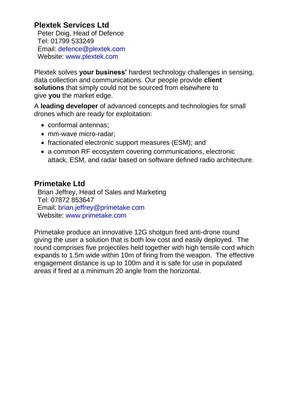# **Plextek Services Ltd**

Peter Doig, Head of Defence Tel: 01799 533249 Email: [defence@plextek.com](mailto:defence@plextek.com) Website: [www.plextek.com](http://www.plextek.com/)

Plextek solves **your business'** hardest technology challenges in sensing, data collection and communications. Our people provide **client solutions** that simply could not be sourced from elsewhere to give **you** the market edge.

A **leading developer** of advanced concepts and technologies for small drones which are ready for exploitation:

- conformal antennas;
- mm-wave micro-radar:
- fractionated electronic support measures (ESM); and
- a common RF ecosystem covering communications, electronic attack, ESM, and radar based on software defined radio architecture.

## **Primetake Ltd**

Brian Jeffrey, Head of Sales and Marketing Tel: 07872 853647 Email: [brian.jeffrey@primetake.com](mailto:brian.jeffrey@primetake.com) Website: [www.primetake.com](http://www.primetake.com/)

Primetake produce an innovative 12G shotgun fired anti-drone round giving the user a solution that is both low cost and easily deployed. The round comprises five projectiles held together with high tensile cord which expands to 1.5m wide within 10m of firing from the weapon. The effective engagement distance is up to 100m and it is safe for use in populated areas if fired at a minimum 20 angle from the horizontal.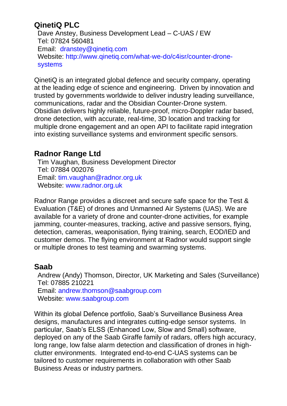# **QinetiQ PLC**

Dave Anstey, Business Development Lead – C-UAS / EW Tel: 07824 560481 Email: [dranstey@qinetiq.com](mailto:dranstey@qinetiq.com) Website: [http://www.qinetiq.com/what-we-do/c4isr/counter-drone](http://www.qinetiq.com/what-we-do/c4isr/counter-drone-systems)[systems](http://www.qinetiq.com/what-we-do/c4isr/counter-drone-systems)

QinetiQ is an integrated global defence and security company, operating at the leading edge of science and engineering. Driven by innovation and trusted by governments worldwide to deliver industry leading surveillance, communications, radar and the Obsidian Counter-Drone system. Obsidian delivers highly reliable, future-proof, micro-Doppler radar based, drone detection, with accurate, real-time, 3D location and tracking for multiple drone engagement and an open API to facilitate rapid integration into existing surveillance systems and environment specific sensors.

# **Radnor Range Ltd**

Tim Vaughan, Business Development Director Tel: 07884 002076 Email: [tim.vaughan@radnor.org.uk](mailto:tim.vaughan@radnor.org.uk) Website: [www.radnor.org.uk](http://www.radnor.org.uk/)

Radnor Range provides a discreet and secure safe space for the Test & Evaluation (T&E) of drones and Unmanned Air Systems (UAS). We are available for a variety of drone and counter-drone activities, for example jamming, counter-measures, tracking, active and passive sensors, flying, detection, cameras, weaponisation, flying training, search, EOD/IED and customer demos. The flying environment at Radnor would support single or multiple drones to test teaming and swarming systems.

# **Saab**

Andrew (Andy) Thomson, Director, UK Marketing and Sales (Surveillance) Tel: 07885 210221 Email: [andrew.thomson@saabgroup.com](mailto:andrew.thomson@saabgroup.com) Website: [www.saabgroup.com](http://www.saabgroup.com/)

Within its global Defence portfolio, Saab's Surveillance Business Area designs, manufactures and integrates cutting-edge sensor systems. In particular, Saab's ELSS (Enhanced Low, Slow and Small) software, deployed on any of the Saab Giraffe family of radars, offers high accuracy, long range, low false alarm detection and classification of drones in highclutter environments. Integrated end-to-end C-UAS systems can be tailored to customer requirements in collaboration with other Saab Business Areas or industry partners.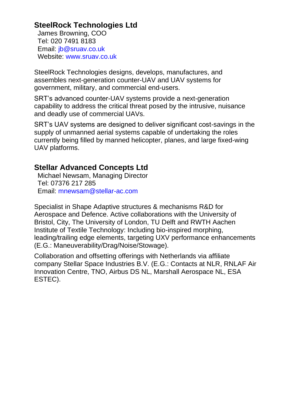# **SteelRock Technologies Ltd**

James Browning, COO Tel: 020 7491 8183 Email: [jb@sruav.co.uk](mailto:jb@sruav.co.uk) Website: [www.sruav.co.uk](http://www.sruav.co.uk/)

SteelRock Technologies designs, develops, manufactures, and assembles next-generation counter-UAV and UAV systems for government, military, and commercial end-users.

SRT's advanced counter-UAV systems provide a next-generation capability to address the critical threat posed by the intrusive, nuisance and deadly use of commercial UAVs.

SRT's UAV systems are designed to deliver significant cost-savings in the supply of unmanned aerial systems capable of undertaking the roles currently being filled by manned helicopter, planes, and large fixed-wing UAV platforms.

# **Stellar Advanced Concepts Ltd**

Michael Newsam, Managing Director Tel: 07376 217 285 Email: [mnewsam@stellar-ac.com](mailto:mnewsam@stellar-ac.com)

Specialist in Shape Adaptive structures & mechanisms R&D for Aerospace and Defence. Active collaborations with the University of Bristol, City, The University of London, TU Delft and RWTH Aachen Institute of Textile Technology: Including bio-inspired morphing, leading/trailing edge elements, targeting UXV performance enhancements (E.G.: Maneuverability/Drag/Noise/Stowage).

Collaboration and offsetting offerings with Netherlands via affiliate company Stellar Space Industries B.V. (E.G.: Contacts at NLR, RNLAF Air Innovation Centre, TNO, Airbus DS NL, Marshall Aerospace NL, ESA ESTEC).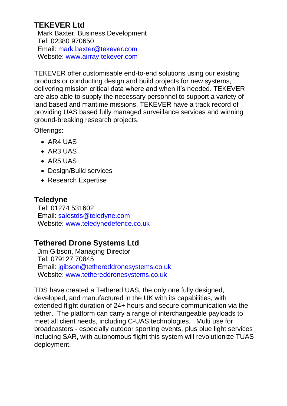# **TEKEVER Ltd**

Mark Baxter, Business Development Tel: 02380 970650 Email: [mark.baxter@tekever.com](mailto:mark.baxter@tekever.com) Website: [www.airray.tekever.com](http://www.airray.tekever.com/)

TEKEVER offer customisable end-to-end solutions using our existing products or conducting design and build projects for new systems, delivering mission critical data where and when it's needed. TEKEVER are also able to supply the necessary personnel to support a variety of land based and maritime missions. TEKEVER have a track record of providing UAS based fully managed surveillance services and winning ground-breaking research projects.

Offerings:

- AR4 UAS
- AR3 UAS
- AR5 UAS
- Design/Build services
- Research Expertise

## **Teledyne**

Tel: 01274 531602 Email: [salestds@teledyne.com](mailto:salestds@teledyne.com) Website: [www.teledynedefence.co.uk](https://www.teledynedefence.co.uk/2021)

# **Tethered Drone Systems Ltd**

Jim Gibson, Managing Director Tel: 079127 70845 Email: [jgibson@tethereddronesystems.co.uk](mailto:jgibson@tethereddronesystems.co.uk) Website: [www.tethereddronesystems.co.uk](http://www.tethereddronesystems.co.uk/)

TDS have created a Tethered UAS, the only one fully designed, developed, and manufactured in the UK with its capabilities, with extended flight duration of 24+ hours and secure communication via the tether. The platform can carry a range of interchangeable payloads to meet all client needs, including C-UAS technologies. Multi use for broadcasters - especially outdoor sporting events, plus blue light services including SAR, with autonomous flight this system will revolutionize TUAS deployment.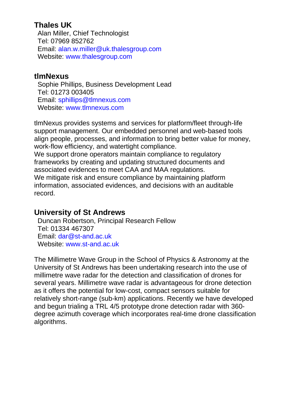## **Thales UK**

Alan Miller, Chief Technologist Tel: 07969 852762 Email: [alan.w.miller@uk.thalesgroup.com](mailto:alan.w.miller@uk.thalesgroup.com) Website: [www.thalesgroup.com](http://www.thalesgroup.com/)

#### **tlmNexus**

Sophie Phillips, Business Development Lead Tel: 01273 003405 Email: [sphillips@tlmnexus.com](mailto:sphillips@tlmnexus.com) Website: [www.tlmnexus.com](http://www.tlmnexus.com/)

tlmNexus provides systems and services for platform/fleet through-life support management. Our embedded personnel and web-based tools align people, processes, and information to bring better value for money, work-flow efficiency, and watertight compliance.

We support drone operators maintain compliance to regulatory frameworks by creating and updating structured documents and associated evidences to meet CAA and MAA regulations. We mitigate risk and ensure compliance by maintaining platform information, associated evidences, and decisions with an auditable record.

## **University of St Andrews**

Duncan Robertson, Principal Research Fellow Tel: 01334 467307 Email: [dar@st-and.ac.uk](mailto:dar@st-and.ac.uk) Website: [www.st-and.ac.uk](http://www.st-and.ac.uk/)

The Millimetre Wave Group in the School of Physics & Astronomy at the University of St Andrews has been undertaking research into the use of millimetre wave radar for the detection and classification of drones for several years. Millimetre wave radar is advantageous for drone detection as it offers the potential for low-cost, compact sensors suitable for relatively short-range (sub-km) applications. Recently we have developed and begun trialing a TRL 4/5 prototype drone detection radar with 360 degree azimuth coverage which incorporates real-time drone classification algorithms.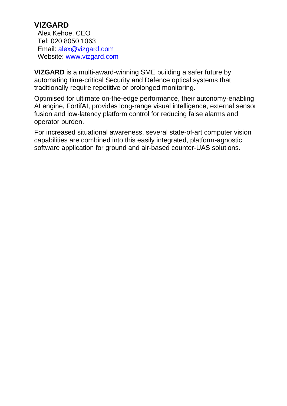## **VIZGARD**

Alex Kehoe, CEO Tel: 020 8050 1063 Email: [alex@vizgard.com](mailto:alex@vizgard.com) Website: [www.vizgard.com](http://www.vizgard.com/)

**VIZGARD** is a multi-award-winning SME building a safer future by automating time-critical Security and Defence optical systems that traditionally require repetitive or prolonged monitoring.

Optimised for ultimate on-the-edge performance, their autonomy-enabling AI engine, FortifAI, provides long-range visual intelligence, external sensor fusion and low-latency platform control for reducing false alarms and operator burden.

For increased situational awareness, several state-of-art computer vision capabilities are combined into this easily integrated, platform-agnostic software application for ground and air-based counter-UAS solutions.